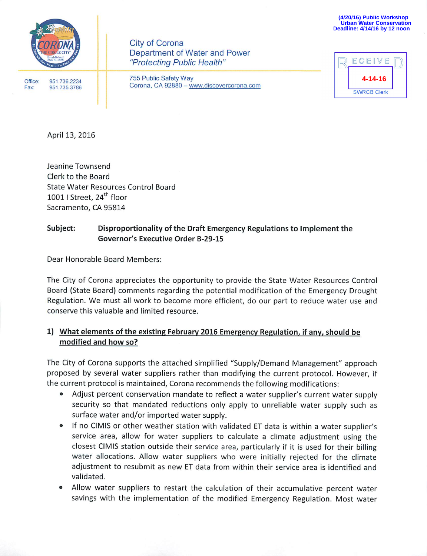

**City of Corona** Department of Water and Power "Protecting Public Health"

Office: Fax:

755 Public Safety Way Corona, CA 92880 - www.discovercorona.com

| ECEIVE             |  |
|--------------------|--|
| 4-14-16            |  |
| <b>SWRCB Clerk</b> |  |

April 13, 2016

951.736.2234

951,735,3786

Jeanine Townsend Clerk to the Board **State Water Resources Control Board** 1001 | Street, 24<sup>th</sup> floor Sacramento, CA 95814

#### Subject: Disproportionality of the Draft Emergency Regulations to Implement the Governor's Executive Order B-29-15

Dear Honorable Board Members:

The City of Corona appreciates the opportunity to provide the State Water Resources Control Board (State Board) comments regarding the potential modification of the Emergency Drought Regulation. We must all work to become more efficient, do our part to reduce water use and conserve this valuable and limited resource.

# 1) What elements of the existing February 2016 Emergency Regulation, if any, should be modified and how so?

The City of Corona supports the attached simplified "Supply/Demand Management" approach proposed by several water suppliers rather than modifying the current protocol. However, if the current protocol is maintained, Corona recommends the following modifications:

- Adjust percent conservation mandate to reflect a water supplier's current water supply  $\bullet$ security so that mandated reductions only apply to unreliable water supply such as surface water and/or imported water supply.
- If no CIMIS or other weather station with validated ET data is within a water supplier's  $\bullet$ service area, allow for water suppliers to calculate a climate adjustment using the closest CIMIS station outside their service area, particularly if it is used for their billing water allocations. Allow water suppliers who were initially rejected for the climate adjustment to resubmit as new ET data from within their service area is identified and validated.
- Allow water suppliers to restart the calculation of their accumulative percent water savings with the implementation of the modified Emergency Regulation. Most water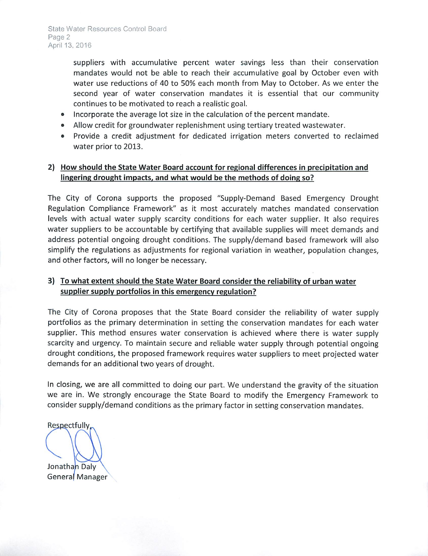suppliers with accumulative percent water savings less than their conservation mandates would not be able to reach their accumulative goal by October even with water use reductions of 40 to 50% each month from May to October. As we enter the second year of water conservation mandates it is essential that our community continues to be motivated to reach a realistic goal.

- Incorporate the average lot size in the calculation of the percent mandate.
- Allow credit for groundwater replenishment using tertiary treated wastewater.
- Provide a credit adjustment for dedicated irrigation meters converted to reclaimed water prior to 2013.

## 2) How should the State Water Board account for regional differences in precipitation and lingering drought impacts, and what would be the methods of doing so?

The City of Corona supports the proposed "Supply-Demand Based Emergency Drought Regulation Compliance Framework" as it most accurately matches mandated conservation levels with actual water supply scarcity conditions for each water supplier. It also requires water suppliers to be accountable by certifying that available supplies will meet demands and address potential ongoing drought conditions. The supply/demand based framework will also simplify the regulations as adjustments for regional variation in weather, population changes, and other factors, will no longer be necessary.

## 3) To what extent should the State Water Board consider the reliability of urban water supplier supply portfolios in this emergency regulation?

The City of Corona proposes that the State Board consider the reliability of water supply portfolios as the primary determination in setting the conservation mandates for each water supplier. This method ensures water conservation is achieved where there is water supply scarcity and urgency. To maintain secure and reliable water supply through potential ongoing drought conditions, the proposed framework requires water suppliers to meet projected water demands for an additional two years of drought.

In closing, we are all committed to doing our part. We understand the gravity of the situation we are in. We strongly encourage the State Board to modify the Emergency Framework to consider supply/demand conditions as the primary factor in setting conservation mandates.

Respectfully, Jonathan Daly General Manager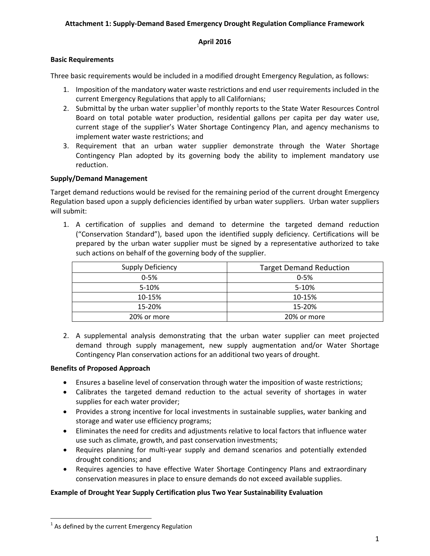#### **Attachment 1: Supply-Demand Based Emergency Drought Regulation Compliance Framework**

#### **April 2016**

### **Basic Requirements**

Three basic requirements would be included in a modified drought Emergency Regulation, as follows:

- 1. Imposition of the mandatory water waste restrictions and end user requirements included in the current Emergency Regulations that apply to all Californians;
- 2. Submittal by the urban water supplier<sup>[1](#page-2-0)</sup> of monthly reports to the State Water Resources Control Board on total potable water production, residential gallons per capita per day water use, current stage of the supplier's Water Shortage Contingency Plan, and agency mechanisms to implement water waste restrictions; and
- 3. Requirement that an urban water supplier demonstrate through the Water Shortage Contingency Plan adopted by its governing body the ability to implement mandatory use reduction.

#### **Supply/Demand Management**

Target demand reductions would be revised for the remaining period of the current drought Emergency Regulation based upon a supply deficiencies identified by urban water suppliers. Urban water suppliers will submit:

1. A certification of supplies and demand to determine the targeted demand reduction ("Conservation Standard"), based upon the identified supply deficiency. Certifications will be prepared by the urban water supplier must be signed by a representative authorized to take such actions on behalf of the governing body of the supplier.

| <b>Supply Deficiency</b> | <b>Target Demand Reduction</b> |  |
|--------------------------|--------------------------------|--|
| $0 - 5%$                 | $0 - 5%$                       |  |
| 5-10%                    | 5-10%                          |  |
| 10-15%                   | 10-15%                         |  |
| 15-20%                   | 15-20%                         |  |
| 20% or more              | 20% or more                    |  |

2. A supplemental analysis demonstrating that the urban water supplier can meet projected demand through supply management, new supply augmentation and/or Water Shortage Contingency Plan conservation actions for an additional two years of drought.

### **Benefits of Proposed Approach**

- Ensures a baseline level of conservation through water the imposition of waste restrictions;
- Calibrates the targeted demand reduction to the actual severity of shortages in water supplies for each water provider;
- Provides a strong incentive for local investments in sustainable supplies, water banking and storage and water use efficiency programs;
- Eliminates the need for credits and adjustments relative to local factors that influence water use such as climate, growth, and past conservation investments;
- Requires planning for multi-year supply and demand scenarios and potentially extended drought conditions; and
- Requires agencies to have effective Water Shortage Contingency Plans and extraordinary conservation measures in place to ensure demands do not exceed available supplies.

### **Example of Drought Year Supply Certification plus Two Year Sustainability Evaluation**

<span id="page-2-0"></span> $1$  As defined by the current Emergency Regulation